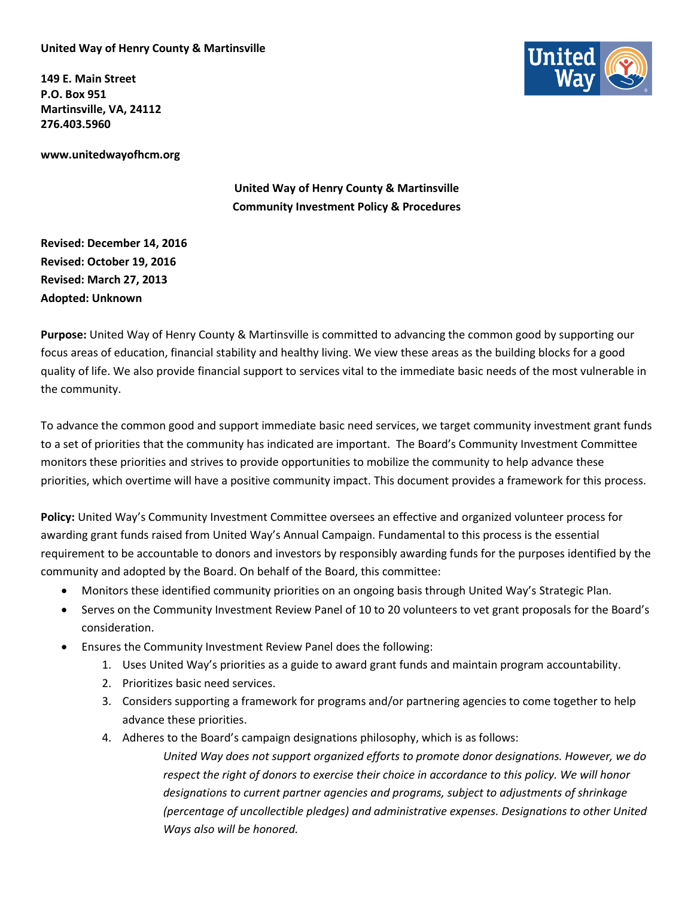## **United Way of Henry County & Martinsville**

**149 E. Main Street P.O. Box 951 Martinsville, VA, 24112 276.403.5960**

**www.unitedwayofhcm.org**

**United Way of Henry County & Martinsville Community Investment Policy & Procedures**

**Revised: December 14, 2016 Revised: October 19, 2016 Revised: March 27, 2013 Adopted: Unknown**

**Purpose:** United Way of Henry County & Martinsville is committed to advancing the common good by supporting our focus areas of education, financial stability and healthy living. We view these areas as the building blocks for a good quality of life. We also provide financial support to services vital to the immediate basic needs of the most vulnerable in the community.

To advance the common good and support immediate basic need services, we target community investment grant funds to a set of priorities that the community has indicated are important. The Board's Community Investment Committee monitors these priorities and strives to provide opportunities to mobilize the community to help advance these priorities, which overtime will have a positive community impact. This document provides a framework for this process.

**Policy:** United Way's Community Investment Committee oversees an effective and organized volunteer process for awarding grant funds raised from United Way's Annual Campaign. Fundamental to this process is the essential requirement to be accountable to donors and investors by responsibly awarding funds for the purposes identified by the community and adopted by the Board. On behalf of the Board, this committee:

- Monitors these identified community priorities on an ongoing basis through United Way's Strategic Plan.
- Serves on the Community Investment Review Panel of 10 to 20 volunteers to vet grant proposals for the Board's consideration.
- Ensures the Community Investment Review Panel does the following:
	- 1. Uses United Way's priorities as a guide to award grant funds and maintain program accountability.
	- 2. Prioritizes basic need services.
	- 3. Considers supporting a framework for programs and/or partnering agencies to come together to help advance these priorities.
	- 4. Adheres to the Board's campaign designations philosophy, which is as follows:

*United Way does not support organized efforts to promote donor designations. However, we do respect the right of donors to exercise their choice in accordance to this policy. We will honor designations to current partner agencies and programs, subject to adjustments of shrinkage (percentage of uncollectible pledges) and administrative expenses. Designations to other United Ways also will be honored.*

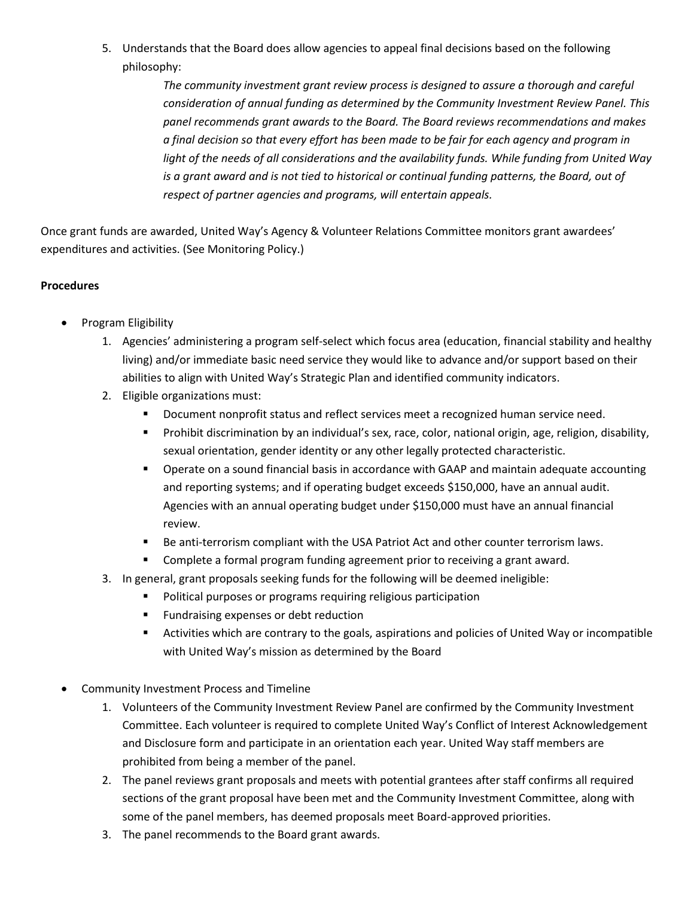5. Understands that the Board does allow agencies to appeal final decisions based on the following philosophy:

> *The community investment grant review process is designed to assure a thorough and careful consideration of annual funding as determined by the Community Investment Review Panel. This panel recommends grant awards to the Board. The Board reviews recommendations and makes a final decision so that every effort has been made to be fair for each agency and program in light of the needs of all considerations and the availability funds. While funding from United Way is a grant award and is not tied to historical or continual funding patterns, the Board, out of respect of partner agencies and programs, will entertain appeals.*

Once grant funds are awarded, United Way's Agency & Volunteer Relations Committee monitors grant awardees' expenditures and activities. (See Monitoring Policy.)

## **Procedures**

- Program Eligibility
	- 1. Agencies' administering a program self-select which focus area (education, financial stability and healthy living) and/or immediate basic need service they would like to advance and/or support based on their abilities to align with United Way's Strategic Plan and identified community indicators.
	- 2. Eligible organizations must:
		- Document nonprofit status and reflect services meet a recognized human service need.
		- Prohibit discrimination by an individual's sex, race, color, national origin, age, religion, disability, sexual orientation, gender identity or any other legally protected characteristic.
		- Operate on a sound financial basis in accordance with GAAP and maintain adequate accounting and reporting systems; and if operating budget exceeds \$150,000, have an annual audit. Agencies with an annual operating budget under \$150,000 must have an annual financial review.
		- **Be anti-terrorism compliant with the USA Patriot Act and other counter terrorism laws.**
		- Complete a formal program funding agreement prior to receiving a grant award.
	- 3. In general, grant proposals seeking funds for the following will be deemed ineligible:
		- **Political purposes or programs requiring religious participation**
		- **Fundraising expenses or debt reduction**
		- Activities which are contrary to the goals, aspirations and policies of United Way or incompatible with United Way's mission as determined by the Board
- Community Investment Process and Timeline
	- 1. Volunteers of the Community Investment Review Panel are confirmed by the Community Investment Committee. Each volunteer is required to complete United Way's Conflict of Interest Acknowledgement and Disclosure form and participate in an orientation each year. United Way staff members are prohibited from being a member of the panel.
	- 2. The panel reviews grant proposals and meets with potential grantees after staff confirms all required sections of the grant proposal have been met and the Community Investment Committee, along with some of the panel members, has deemed proposals meet Board-approved priorities.
	- 3. The panel recommends to the Board grant awards.